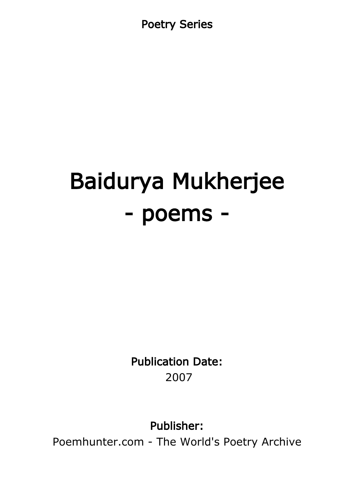Poetry Series

# Baidurya Mukherjee - poems -

Publication Date: 2007

Publisher:

Poemhunter.com - The World's Poetry Archive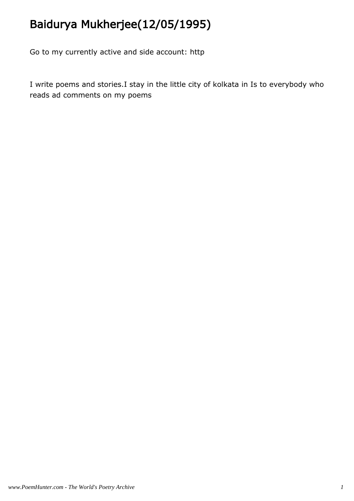# Baidurya Mukherjee(12/05/1995)

Go to my currently active and side account: http

I write poems and stories.I stay in the little city of kolkata in Is to everybody who reads ad comments on my poems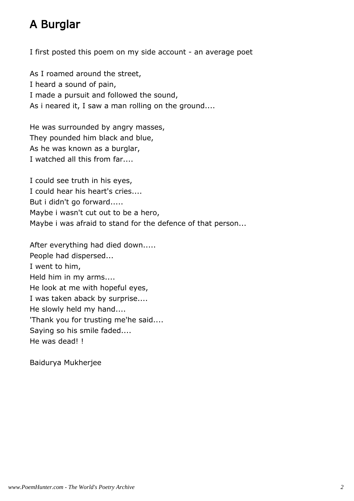# A Burglar

I first posted this poem on my side account - an average poet

As I roamed around the street, I heard a sound of pain, I made a pursuit and followed the sound, As i neared it, I saw a man rolling on the ground....

He was surrounded by angry masses, They pounded him black and blue, As he was known as a burglar, I watched all this from far....

I could see truth in his eyes, I could hear his heart's cries.... But i didn't go forward..... Maybe i wasn't cut out to be a hero, Maybe i was afraid to stand for the defence of that person...

After everything had died down..... People had dispersed... I went to him, Held him in my arms.... He look at me with hopeful eyes, I was taken aback by surprise.... He slowly held my hand.... 'Thank you for trusting me'he said.... Saying so his smile faded.... He was dead! !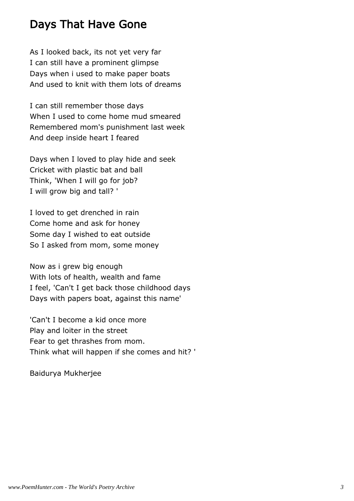#### Days That Have Gone

As I looked back, its not yet very far I can still have a prominent glimpse Days when i used to make paper boats And used to knit with them lots of dreams

I can still remember those days When I used to come home mud smeared Remembered mom's punishment last week And deep inside heart I feared

Days when I loved to play hide and seek Cricket with plastic bat and ball Think, 'When I will go for job? I will grow big and tall? '

I loved to get drenched in rain Come home and ask for honey Some day I wished to eat outside So I asked from mom, some money

Now as i grew big enough With lots of health, wealth and fame I feel, 'Can't I get back those childhood days Days with papers boat, against this name'

'Can't I become a kid once more Play and loiter in the street Fear to get thrashes from mom. Think what will happen if she comes and hit? '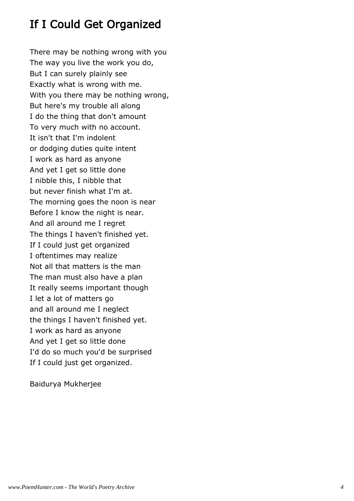# If I Could Get Organized

There may be nothing wrong with you The way you live the work you do, But I can surely plainly see Exactly what is wrong with me. With you there may be nothing wrong, But here's my trouble all along I do the thing that don't amount To very much with no account. It isn't that I'm indolent or dodging duties quite intent I work as hard as anyone And yet I get so little done I nibble this, I nibble that but never finish what I'm at. The morning goes the noon is near Before I know the night is near. And all around me I regret The things I haven't finished yet. If I could just get organized I oftentimes may realize Not all that matters is the man The man must also have a plan It really seems important though I let a lot of matters go and all around me I neglect the things I haven't finished yet. I work as hard as anyone And yet I get so little done I'd do so much you'd be surprised If I could just get organized.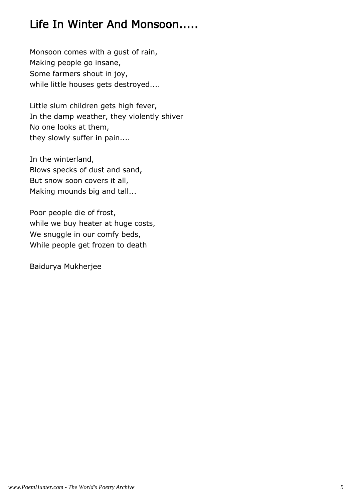# Life In Winter And Monsoon.....

Monsoon comes with a gust of rain, Making people go insane, Some farmers shout in joy, while little houses gets destroyed....

Little slum children gets high fever, In the damp weather, they violently shiver No one looks at them, they slowly suffer in pain....

In the winterland, Blows specks of dust and sand, But snow soon covers it all, Making mounds big and tall...

Poor people die of frost, while we buy heater at huge costs, We snuggle in our comfy beds, While people get frozen to death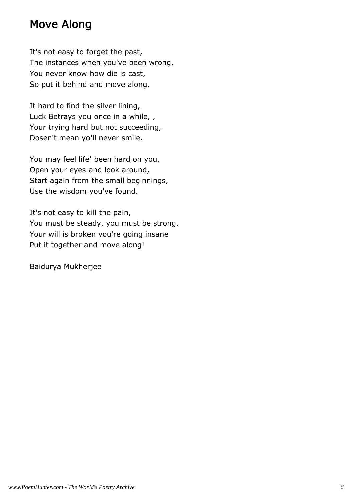#### Move Along

It's not easy to forget the past, The instances when you've been wrong, You never know how die is cast, So put it behind and move along.

It hard to find the silver lining, Luck Betrays you once in a while, , Your trying hard but not succeeding, Dosen't mean yo'll never smile.

You may feel life' been hard on you, Open your eyes and look around, Start again from the small beginnings, Use the wisdom you've found.

It's not easy to kill the pain, You must be steady, you must be strong, Your will is broken you're going insane Put it together and move along!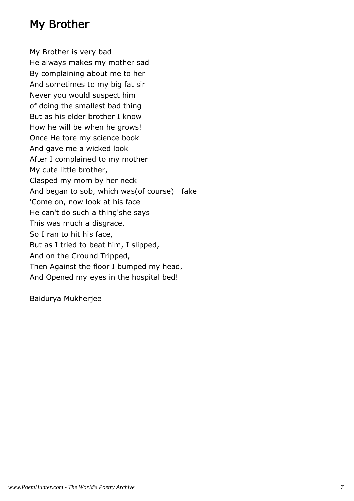#### My Brother

My Brother is very bad He always makes my mother sad By complaining about me to her And sometimes to my big fat sir Never you would suspect him of doing the smallest bad thing But as his elder brother I know How he will be when he grows! Once He tore my science book And gave me a wicked look After I complained to my mother My cute little brother, Clasped my mom by her neck And began to sob, which was(of course) fake 'Come on, now look at his face He can't do such a thing'she says This was much a disgrace, So I ran to hit his face, But as I tried to beat him, I slipped, And on the Ground Tripped, Then Against the floor I bumped my head, And Opened my eyes in the hospital bed!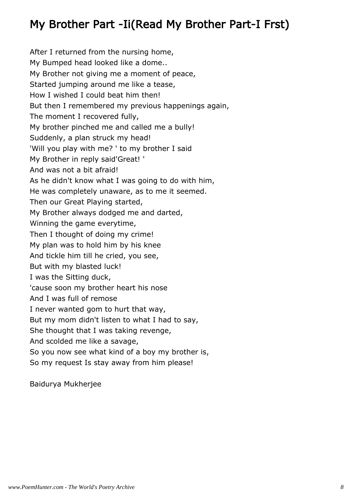# My Brother Part -Ii(Read My Brother Part-I Frst)

After I returned from the nursing home, My Bumped head looked like a dome.. My Brother not giving me a moment of peace, Started jumping around me like a tease, How I wished I could beat him then! But then I remembered my previous happenings again, The moment I recovered fully, My brother pinched me and called me a bully! Suddenly, a plan struck my head! 'Will you play with me? ' to my brother I said My Brother in reply said'Great! ' And was not a bit afraid! As he didn't know what I was going to do with him, He was completely unaware, as to me it seemed. Then our Great Playing started, My Brother always dodged me and darted, Winning the game everytime, Then I thought of doing my crime! My plan was to hold him by his knee And tickle him till he cried, you see, But with my blasted luck! I was the Sitting duck, 'cause soon my brother heart his nose And I was full of remose I never wanted gom to hurt that way, But my mom didn't listen to what I had to say, She thought that I was taking revenge, And scolded me like a savage, So you now see what kind of a boy my brother is, So my request Is stay away from him please!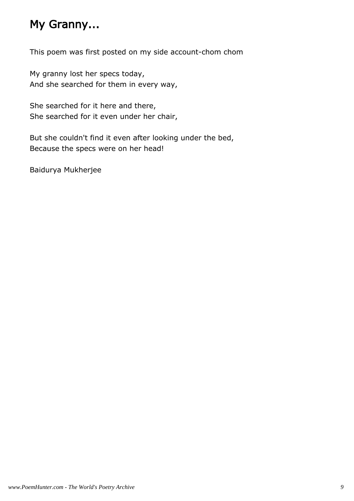# My Granny...

This poem was first posted on my side account-chom chom

My granny lost her specs today, And she searched for them in every way,

She searched for it here and there, She searched for it even under her chair,

But she couldn't find it even after looking under the bed, Because the specs were on her head!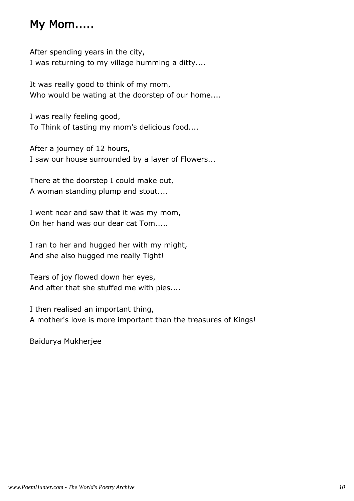#### My Mom.....

After spending years in the city, I was returning to my village humming a ditty....

It was really good to think of my mom, Who would be wating at the doorstep of our home....

I was really feeling good, To Think of tasting my mom's delicious food....

After a journey of 12 hours, I saw our house surrounded by a layer of Flowers...

There at the doorstep I could make out, A woman standing plump and stout....

I went near and saw that it was my mom, On her hand was our dear cat Tom.....

I ran to her and hugged her with my might, And she also hugged me really Tight!

Tears of joy flowed down her eyes, And after that she stuffed me with pies....

I then realised an important thing, A mother's love is more important than the treasures of Kings!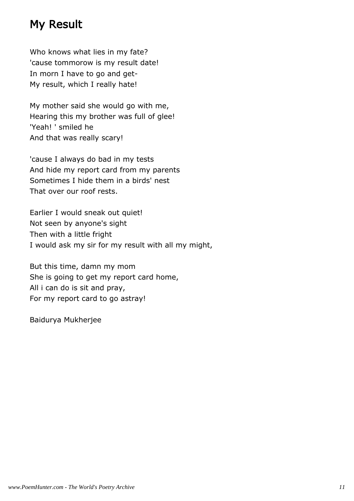#### My Result

Who knows what lies in my fate? 'cause tommorow is my result date! In morn I have to go and get-My result, which I really hate!

My mother said she would go with me, Hearing this my brother was full of glee! 'Yeah! ' smiled he And that was really scary!

'cause I always do bad in my tests And hide my report card from my parents Sometimes I hide them in a birds' nest That over our roof rests.

Earlier I would sneak out quiet! Not seen by anyone's sight Then with a little fright I would ask my sir for my result with all my might,

But this time, damn my mom She is going to get my report card home, All i can do is sit and pray, For my report card to go astray!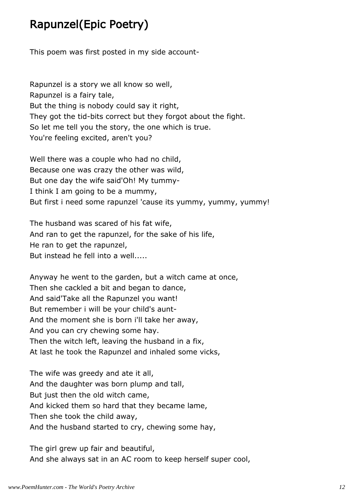# Rapunzel(Epic Poetry)

This poem was first posted in my side account-

Rapunzel is a story we all know so well, Rapunzel is a fairy tale, But the thing is nobody could say it right, They got the tid-bits correct but they forgot about the fight. So let me tell you the story, the one which is true. You're feeling excited, aren't you?

Well there was a couple who had no child, Because one was crazy the other was wild, But one day the wife said'Oh! My tummy-I think I am going to be a mummy, But first i need some rapunzel 'cause its yummy, yummy, yummy!

The husband was scared of his fat wife, And ran to get the rapunzel, for the sake of his life, He ran to get the rapunzel, But instead he fell into a well.....

Anyway he went to the garden, but a witch came at once, Then she cackled a bit and began to dance, And said'Take all the Rapunzel you want! But remember i will be your child's aunt-And the moment she is born i'll take her away, And you can cry chewing some hay. Then the witch left, leaving the husband in a fix, At last he took the Rapunzel and inhaled some vicks,

The wife was greedy and ate it all, And the daughter was born plump and tall, But just then the old witch came, And kicked them so hard that they became lame, Then she took the child away, And the husband started to cry, chewing some hay,

The girl grew up fair and beautiful, And she always sat in an AC room to keep herself super cool,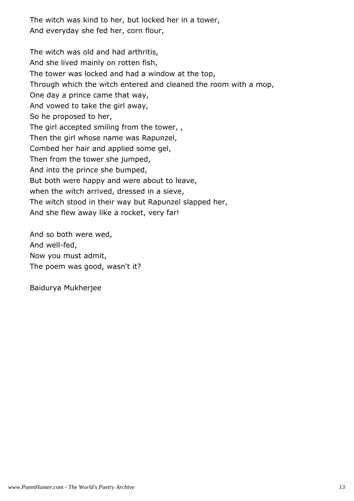The witch was kind to her, but locked her in a tower, And everyday she fed her, corn flour,

The witch was old and had arthritis, And she lived mainly on rotten fish, The tower was locked and had a window at the top, Through which the witch entered and cleaned the room with a mop, One day a prince came that way, And vowed to take the girl away, So he proposed to her, The girl accepted smiling from the tower, , Then the girl whose name was Rapunzel, Combed her hair and applied some gel, Then from the tower she jumped, And into the prince she bumped, But both were happy and were about to leave, when the witch arrived, dressed in a sieve, The witch stood in their way but Rapunzel slapped her, And she flew away like a rocket, very far!

And so both were wed, And well-fed, Now you must admit, The poem was good, wasn't it?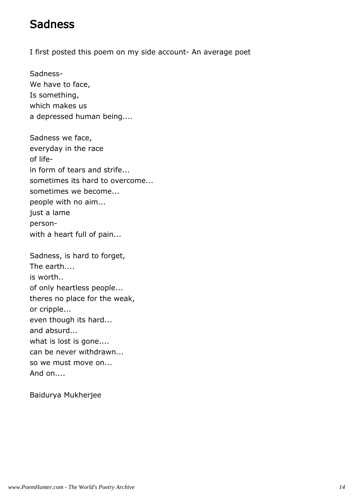#### Sadness

I first posted this poem on my side account- An average poet

Sadness-We have to face, Is something, which makes us a depressed human being....

Sadness we face, everyday in the race of lifein form of tears and strife... sometimes its hard to overcome... sometimes we become... people with no aim... just a lame personwith a heart full of pain...

Sadness, is hard to forget, The earth.... is worth.. of only heartless people... theres no place for the weak, or cripple... even though its hard... and absurd... what is lost is gone.... can be never withdrawn... so we must move on... And on....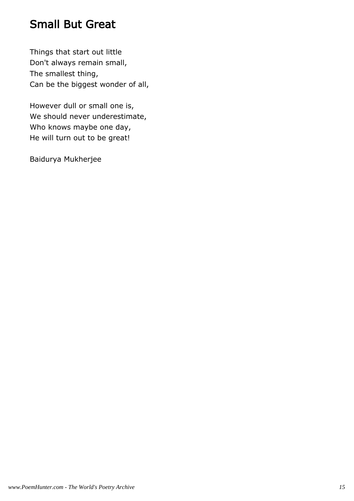#### Small But Great

Things that start out little Don't always remain small, The smallest thing, Can be the biggest wonder of all,

However dull or small one is, We should never underestimate, Who knows maybe one day, He will turn out to be great!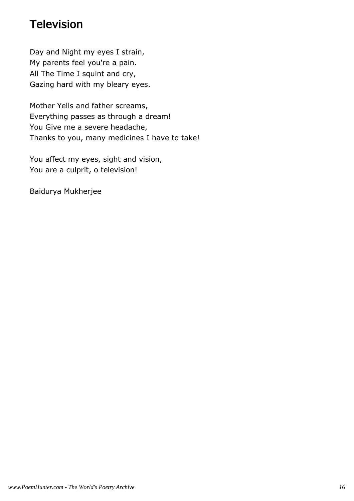#### Television

Day and Night my eyes I strain, My parents feel you're a pain. All The Time I squint and cry, Gazing hard with my bleary eyes.

Mother Yells and father screams, Everything passes as through a dream! You Give me a severe headache, Thanks to you, many medicines I have to take!

You affect my eyes, sight and vision, You are a culprit, o television!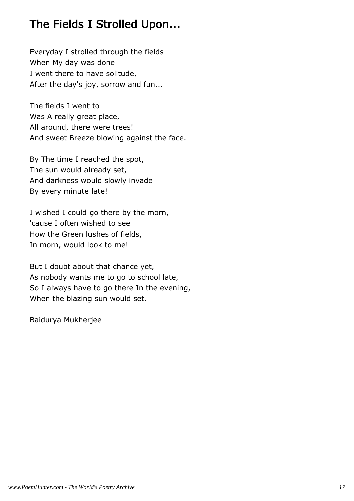# The Fields I Strolled Upon...

Everyday I strolled through the fields When My day was done I went there to have solitude, After the day's joy, sorrow and fun...

The fields I went to Was A really great place, All around, there were trees! And sweet Breeze blowing against the face.

By The time I reached the spot, The sun would already set, And darkness would slowly invade By every minute late!

I wished I could go there by the morn, 'cause I often wished to see How the Green lushes of fields, In morn, would look to me!

But I doubt about that chance yet, As nobody wants me to go to school late, So I always have to go there In the evening, When the blazing sun would set.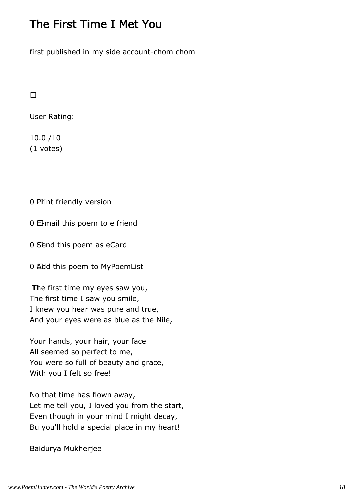#### The First Time I Met You

first published in my side account-chom chom

User Rating:

10.0 /10 (1 votes)

0 Print friendly version

0 E-mail this poem to e friend

0 Send this poem as eCard

0 Add this poem to MyPoemList

 The first time my eyes saw you, The first time I saw you smile, I knew you hear was pure and true, And your eyes were as blue as the Nile,

Your hands, your hair, your face All seemed so perfect to me, You were so full of beauty and grace, With you I felt so free!

No that time has flown away, Let me tell you, I loved you from the start, Even though in your mind I might decay, Bu you'll hold a special place in my heart!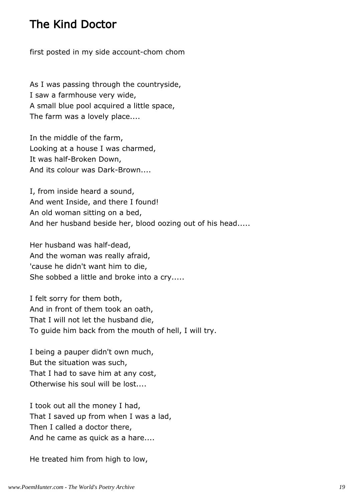#### The Kind Doctor

first posted in my side account-chom chom

As I was passing through the countryside, I saw a farmhouse very wide, A small blue pool acquired a little space, The farm was a lovely place....

In the middle of the farm, Looking at a house I was charmed, It was half-Broken Down, And its colour was Dark-Brown....

I, from inside heard a sound, And went Inside, and there I found! An old woman sitting on a bed, And her husband beside her, blood oozing out of his head.....

Her husband was half-dead, And the woman was really afraid, 'cause he didn't want him to die, She sobbed a little and broke into a cry.....

I felt sorry for them both, And in front of them took an oath, That I will not let the husband die, To guide him back from the mouth of hell, I will try.

I being a pauper didn't own much, But the situation was such, That I had to save him at any cost, Otherwise his soul will be lost....

I took out all the money I had, That I saved up from when I was a lad, Then I called a doctor there, And he came as quick as a hare....

He treated him from high to low,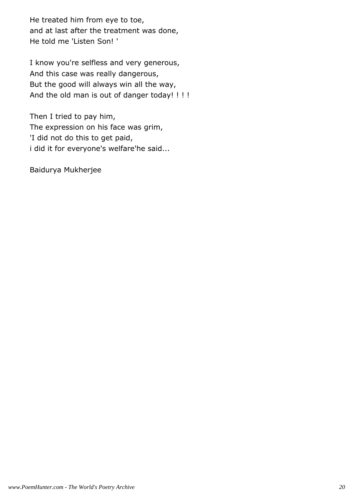He treated him from eye to toe, and at last after the treatment was done, He told me 'Listen Son! '

I know you're selfless and very generous, And this case was really dangerous, But the good will always win all the way, And the old man is out of danger today! ! ! !

Then I tried to pay him, The expression on his face was grim, 'I did not do this to get paid, i did it for everyone's welfare'he said...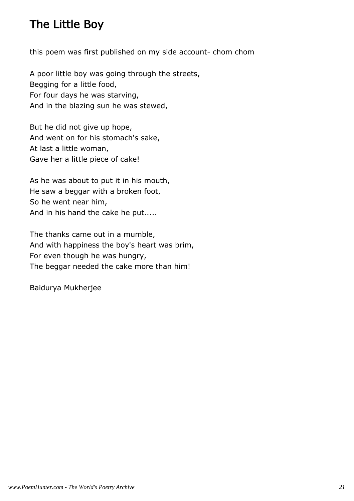# The Little Boy

this poem was first published on my side account- chom chom

A poor little boy was going through the streets, Begging for a little food, For four days he was starving, And in the blazing sun he was stewed,

But he did not give up hope, And went on for his stomach's sake, At last a little woman, Gave her a little piece of cake!

As he was about to put it in his mouth, He saw a beggar with a broken foot, So he went near him, And in his hand the cake he put.....

The thanks came out in a mumble, And with happiness the boy's heart was brim, For even though he was hungry, The beggar needed the cake more than him!